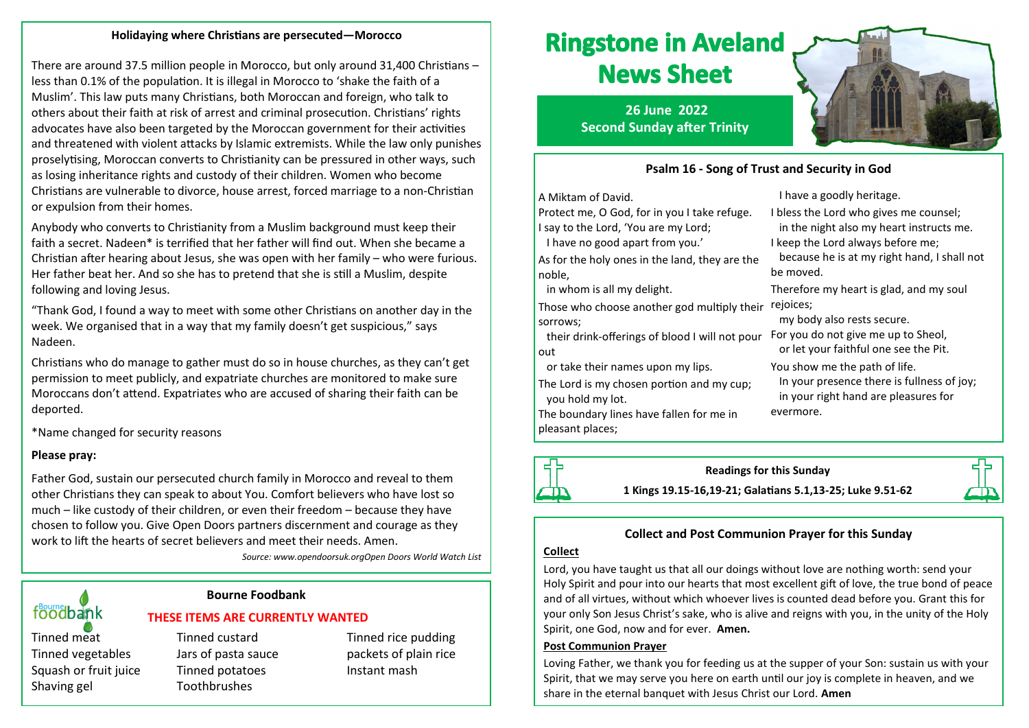#### **Holidaying where Christians are persecuted—Morocco**

There are around 37.5 million people in Morocco, but only around 31,400 Christians – less than 0.1% of the population. It is illegal in Morocco to 'shake the faith of a Muslim'. This law puts many Christians, both Moroccan and foreign, who talk to others about their faith at risk of arrest and criminal prosecution. Christians' rights advocates have also been targeted by the Moroccan government for their activities and threatened with violent attacks by Islamic extremists. While the law only punishes proselytising, Moroccan converts to Christianity can be pressured in other ways, such as losing inheritance rights and custody of their children. Women who become Christians are vulnerable to divorce, house arrest, forced marriage to a non-Christian or expulsion from their homes.

Anybody who converts to Christianity from a Muslim background must keep their faith a secret. Nadeen\* is terrified that her father will find out. When she became a Christian after hearing about Jesus, she was open with her family – who were furious. Her father beat her. And so she has to pretend that she is still a Muslim, despite following and loving Jesus.

"Thank God, I found a way to meet with some other Christians on another day in the week. We organised that in a way that my family doesn't get suspicious," says Nadeen.

Christians who do manage to gather must do so in house churches, as they can't get permission to meet publicly, and expatriate churches are monitored to make sure Moroccans don't attend. Expatriates who are accused of sharing their faith can be deported.

\*Name changed for security reasons

#### **Please pray:**

Father God, sustain our persecuted church family in Morocco and reveal to them other Christians they can speak to about You. Comfort believers who have lost so much – like custody of their children, or even their freedom – because they have chosen to follow you. Give Open Doors partners discernment and courage as they work to lift the hearts of secret believers and meet their needs. Amen.

*Source: www.opendoorsuk.orgOpen Doors World Watch List*

# foodbank

### **Bourne Foodbank**

#### **THESE ITEMS ARE CURRENTLY WANTED**

Tinned vegetables Jars of pasta sauce packets of plain rice Squash or fruit juice Tinned potatoes Instant mash Shaving gel Toothbrushes

Tinned meat Tinned custard Tinned Tinned rice pudding

# **Ringstone in Aveland News Sheet**

**26 June 2022 Second Sunday after Trinity**

# **Psalm 16 - Song of Trust and Security in God**

A Miktam of David.

Protect me, O God, for in you I take refuge. I say to the Lord, 'You are my Lord;

I have no good apart from you.'

As for the holy ones in the land, they are the noble,

in whom is all my delight.

Those who choose another god multiply their rejoices; sorrows;

 their drink-offerings of blood I will not pour out

- or take their names upon my lips.
- The Lord is my chosen portion and my cup; you hold my lot.

The boundary lines have fallen for me in pleasant places;

I have a goodly heritage.

I bless the Lord who gives me counsel;

in the night also my heart instructs me.

I keep the Lord always before me;

 because he is at my right hand, I shall not be moved.

Therefore my heart is glad, and my soul

my body also rests secure.

For you do not give me up to Sheol, or let your faithful one see the Pit.

You show me the path of life. In your presence there is fullness of joy; in your right hand are pleasures for evermore.

**Readings for this Sunday**

**1 Kings 19.15-16,19-21; Galatians 5.1,13-25; Luke 9.51-62**



# **Collect and Post Communion Prayer for this Sunday**

### **Collect**

 $\Box$ 

Lord, you have taught us that all our doings without love are nothing worth: send your Holy Spirit and pour into our hearts that most excellent gift of love, the true bond of peace and of all virtues, without which whoever lives is counted dead before you. Grant this for your only Son Jesus Christ's sake, who is alive and reigns with you, in the unity of the Holy Spirit, one God, now and for ever. **Amen.**

#### **Post Communion Prayer**

Loving Father, we thank you for feeding us at the supper of your Son: sustain us with your Spirit, that we may serve you here on earth until our joy is complete in heaven, and we share in the eternal banquet with Jesus Christ our Lord. **Amen**